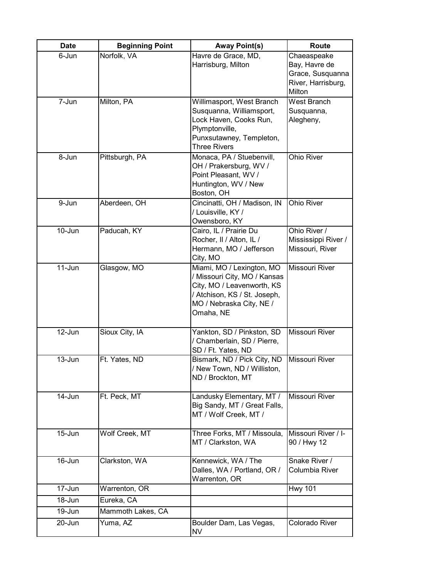| <b>Date</b> | <b>Beginning Point</b> | <b>Away Point(s)</b>                                                                                                                                             | <b>Route</b>                                                                     |
|-------------|------------------------|------------------------------------------------------------------------------------------------------------------------------------------------------------------|----------------------------------------------------------------------------------|
| 6-Jun       | Norfolk, VA            | Havre de Grace, MD,<br>Harrisburg, Milton                                                                                                                        | Chaeaspeake<br>Bay, Havre de<br>Grace, Susquanna<br>River, Harrisburg,<br>Milton |
| 7-Jun       | Milton, PA             | Willimasport, West Branch<br>Susquanna, Williamsport,<br>Lock Haven, Cooks Run,<br>Plymptonville,<br>Punxsutawney, Templeton,<br><b>Three Rivers</b>             | West Branch<br>Susquanna,<br>Alegheny,                                           |
| 8-Jun       | Pittsburgh, PA         | Monaca, PA / Stuebenvill,<br>OH / Prakersburg, WV /<br>Point Pleasant, WV /<br>Huntington, WV / New<br>Boston, OH                                                | <b>Ohio River</b>                                                                |
| 9-Jun       | Aberdeen, OH           | Cincinatti, OH / Madison, IN<br>/ Louisville, KY /<br>Owensboro, KY                                                                                              | <b>Ohio River</b>                                                                |
| $10 - Jun$  | Paducah, KY            | Cairo, IL / Prairie Du<br>Rocher, II / Alton, IL /<br>Hermann, MO / Jefferson<br>City, MO                                                                        | Ohio River /<br>Mississippi River /<br>Missouri, River                           |
| $11$ -Jun   | Glasgow, MO            | Miami, MO / Lexington, MO<br>/ Missouri City, MO / Kansas<br>City, MO / Leavenworth, KS<br>/ Atchison, KS / St. Joseph,<br>MO / Nebraska City, NE /<br>Omaha, NE | <b>Missouri River</b>                                                            |
| $12$ -Jun   | Sioux City, IA         | Yankton, SD / Pinkston, SD<br>/ Chamberlain, SD / Pierre,<br>SD / Ft. Yates, ND                                                                                  | Missouri River                                                                   |
| $13 - Jun$  | Ft. Yates, ND          | Bismark, ND / Pick City, ND<br>/ New Town, ND / Williston,<br>ND / Brockton, MT                                                                                  | Missouri River                                                                   |
| $14$ -Jun   | Ft. Peck, MT           | Landusky Elementary, MT /<br>Big Sandy, MT / Great Falls,<br>MT / Wolf Creek, MT /                                                                               | Missouri River                                                                   |
| $15 - Jun$  | Wolf Creek, MT         | Three Forks, MT / Missoula,<br>MT / Clarkston, WA                                                                                                                | Missouri River / I-<br>90 / Hwy 12                                               |
| 16-Jun      | Clarkston, WA          | Kennewick, WA / The<br>Dalles, WA / Portland, OR /<br>Warrenton, OR                                                                                              | Snake River /<br>Columbia River                                                  |
| 17-Jun      | Warrenton, OR          |                                                                                                                                                                  | <b>Hwy 101</b>                                                                   |
| 18-Jun      | Eureka, CA             |                                                                                                                                                                  |                                                                                  |
| 19-Jun      | Mammoth Lakes, CA      |                                                                                                                                                                  |                                                                                  |
| 20-Jun      | Yuma, AZ               | Boulder Dam, Las Vegas,<br><b>NV</b>                                                                                                                             | Colorado River                                                                   |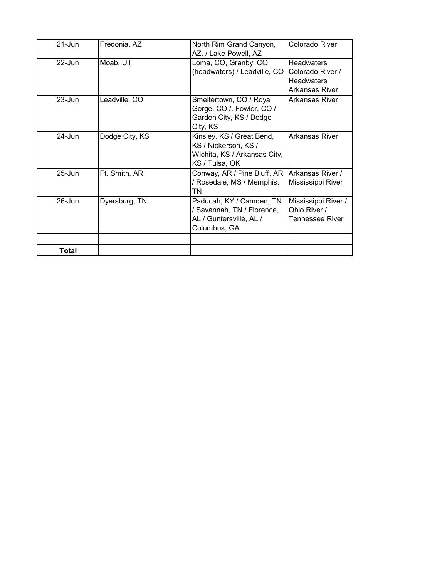| $21 - Jun$ | Fredonia, AZ   | North Rim Grand Canyon,      | Colorado River      |
|------------|----------------|------------------------------|---------------------|
|            |                | AZ. / Lake Powell, AZ        |                     |
| $22 -$ Jun | Moab, UT       | Loma, CO, Granby, CO         | <b>Headwaters</b>   |
|            |                | (headwaters) / Leadville, CO | Colorado River /    |
|            |                |                              | <b>Headwaters</b>   |
|            |                |                              | Arkansas River      |
| $23 - Jun$ | Leadville, CO  | Smeltertown, CO / Royal      | Arkansas River      |
|            |                | Gorge, CO / Fowler, CO /     |                     |
|            |                | Garden City, KS / Dodge      |                     |
|            |                | City, KS                     |                     |
| $24 - Jun$ | Dodge City, KS | Kinsley, KS / Great Bend,    | Arkansas River      |
|            |                | KS / Nickerson, KS /         |                     |
|            |                | Wichita, KS / Arkansas City, |                     |
|            |                | KS / Tulsa, OK               |                     |
| $25 -$ Jun | Ft. Smith, AR  | Conway, AR / Pine Bluff, AR  | Arkansas River /    |
|            |                | / Rosedale, MS / Memphis,    | Mississippi River   |
|            |                | TN                           |                     |
| $26$ -Jun  | Dyersburg, TN  | Paducah, KY / Camden, TN     | Mississippi River / |
|            |                | Savannah, TN / Florence,     | Ohio River /        |
|            |                | AL / Guntersville, AL /      | Tennessee River     |
|            |                | Columbus, GA                 |                     |
|            |                |                              |                     |
| Total      |                |                              |                     |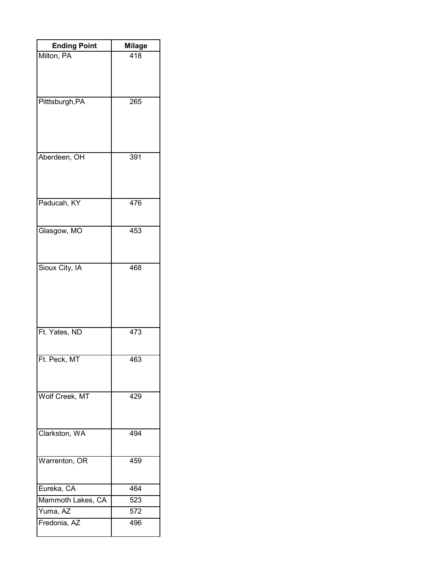| <b>Ending Point</b> | <b>Milage</b> |  |
|---------------------|---------------|--|
| Milton, PA          | 418           |  |
|                     |               |  |
|                     |               |  |
|                     |               |  |
| Pitttsburgh, PA     | 265           |  |
|                     |               |  |
|                     |               |  |
|                     |               |  |
| Aberdeen, OH        | 391           |  |
|                     |               |  |
|                     |               |  |
|                     |               |  |
| Paducah, KY         | 476           |  |
|                     |               |  |
| Glasgow, MO         | 453           |  |
|                     |               |  |
|                     |               |  |
| Sioux City, IA      | 468           |  |
|                     |               |  |
|                     |               |  |
|                     |               |  |
|                     |               |  |
| Ft. Yates, ND       | 473           |  |
|                     |               |  |
| Ft. Peck, MT        | 463           |  |
|                     |               |  |
|                     |               |  |
| Wolf Creek, MT      | 429           |  |
|                     |               |  |
|                     |               |  |
| Clarkston, WA       | 494           |  |
|                     |               |  |
| Warrenton, OR       | 459           |  |
|                     |               |  |
| Eureka, CA          | 464           |  |
| Mammoth Lakes, CA   | 523           |  |
| Yuma, AZ            | 572           |  |
| Fredonia, AZ        | 496           |  |
|                     |               |  |